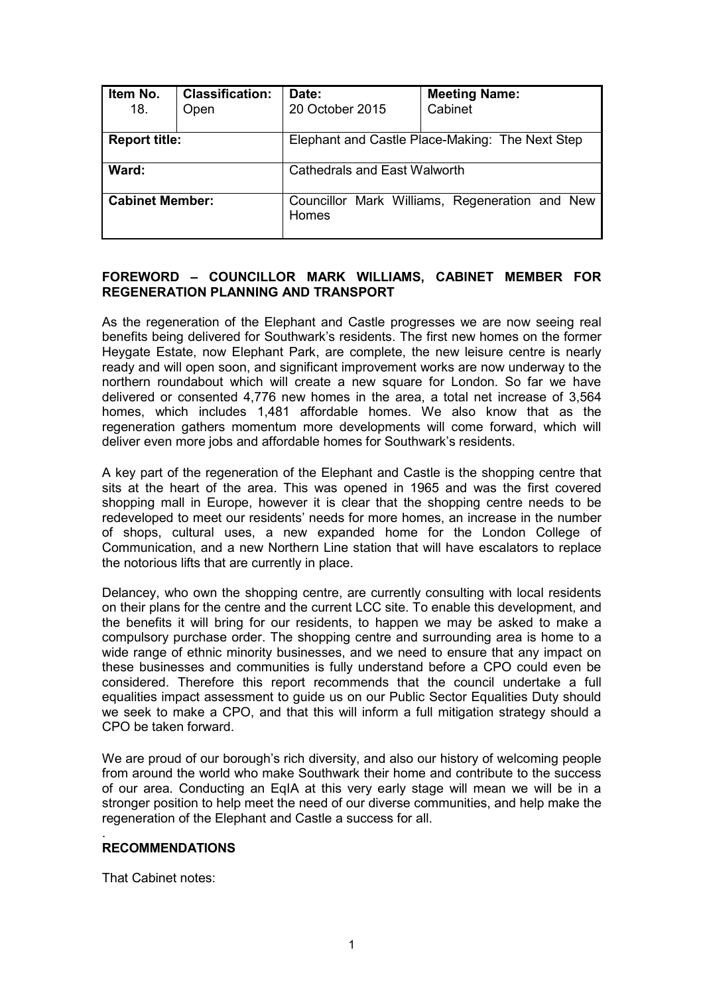| Item No.<br>18.        | <b>Classification:</b><br>Open | Date:<br>20 October 2015                        | <b>Meeting Name:</b><br>Cabinet                |  |
|------------------------|--------------------------------|-------------------------------------------------|------------------------------------------------|--|
| <b>Report title:</b>   |                                | Elephant and Castle Place-Making: The Next Step |                                                |  |
| Ward:                  |                                | <b>Cathedrals and East Walworth</b>             |                                                |  |
| <b>Cabinet Member:</b> |                                | Homes                                           | Councillor Mark Williams, Regeneration and New |  |

## **FOREWORD – COUNCILLOR MARK WILLIAMS, CABINET MEMBER FOR REGENERATION PLANNING AND TRANSPORT**

As the regeneration of the Elephant and Castle progresses we are now seeing real benefits being delivered for Southwark's residents. The first new homes on the former Heygate Estate, now Elephant Park, are complete, the new leisure centre is nearly ready and will open soon, and significant improvement works are now underway to the northern roundabout which will create a new square for London. So far we have delivered or consented 4,776 new homes in the area, a total net increase of 3,564 homes, which includes 1,481 affordable homes. We also know that as the regeneration gathers momentum more developments will come forward, which will deliver even more jobs and affordable homes for Southwark's residents.

A key part of the regeneration of the Elephant and Castle is the shopping centre that sits at the heart of the area. This was opened in 1965 and was the first covered shopping mall in Europe, however it is clear that the shopping centre needs to be redeveloped to meet our residents' needs for more homes, an increase in the number of shops, cultural uses, a new expanded home for the London College of Communication, and a new Northern Line station that will have escalators to replace the notorious lifts that are currently in place.

Delancey, who own the shopping centre, are currently consulting with local residents on their plans for the centre and the current LCC site. To enable this development, and the benefits it will bring for our residents, to happen we may be asked to make a compulsory purchase order. The shopping centre and surrounding area is home to a wide range of ethnic minority businesses, and we need to ensure that any impact on these businesses and communities is fully understand before a CPO could even be considered. Therefore this report recommends that the council undertake a full equalities impact assessment to guide us on our Public Sector Equalities Duty should we seek to make a CPO, and that this will inform a full mitigation strategy should a CPO be taken forward.

We are proud of our borough's rich diversity, and also our history of welcoming people from around the world who make Southwark their home and contribute to the success of our area. Conducting an EqIA at this very early stage will mean we will be in a stronger position to help meet the need of our diverse communities, and help make the regeneration of the Elephant and Castle a success for all.

#### . **RECOMMENDATIONS**

That Cabinet notes: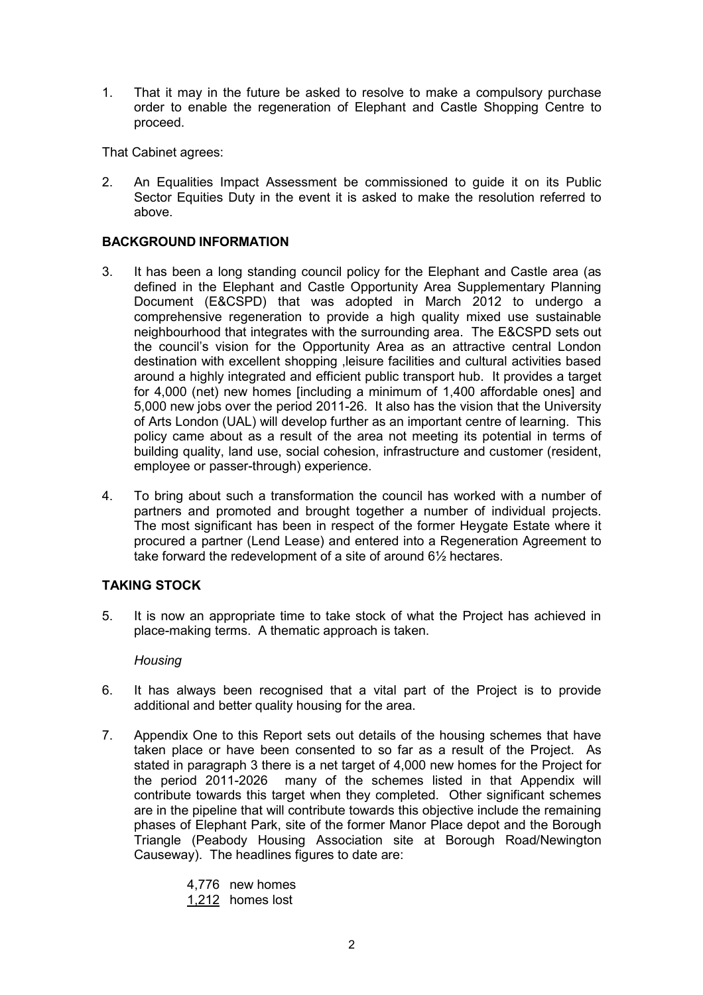1. That it may in the future be asked to resolve to make a compulsory purchase order to enable the regeneration of Elephant and Castle Shopping Centre to proceed.

That Cabinet agrees:

2. An Equalities Impact Assessment be commissioned to guide it on its Public Sector Equities Duty in the event it is asked to make the resolution referred to above.

## **BACKGROUND INFORMATION**

- 3. It has been a long standing council policy for the Elephant and Castle area (as defined in the Elephant and Castle Opportunity Area Supplementary Planning Document (E&CSPD) that was adopted in March 2012 to undergo a comprehensive regeneration to provide a high quality mixed use sustainable neighbourhood that integrates with the surrounding area. The E&CSPD sets out the council's vision for the Opportunity Area as an attractive central London destination with excellent shopping ,leisure facilities and cultural activities based around a highly integrated and efficient public transport hub. It provides a target for 4,000 (net) new homes [including a minimum of 1,400 affordable ones] and 5,000 new jobs over the period 2011-26. It also has the vision that the University of Arts London (UAL) will develop further as an important centre of learning. This policy came about as a result of the area not meeting its potential in terms of building quality, land use, social cohesion, infrastructure and customer (resident, employee or passer-through) experience.
- 4. To bring about such a transformation the council has worked with a number of partners and promoted and brought together a number of individual projects. The most significant has been in respect of the former Heygate Estate where it procured a partner (Lend Lease) and entered into a Regeneration Agreement to take forward the redevelopment of a site of around 6½ hectares.

# **TAKING STOCK**

5. It is now an appropriate time to take stock of what the Project has achieved in place-making terms. A thematic approach is taken.

## *Housing*

- 6. It has always been recognised that a vital part of the Project is to provide additional and better quality housing for the area.
- 7. Appendix One to this Report sets out details of the housing schemes that have taken place or have been consented to so far as a result of the Project. As stated in paragraph 3 there is a net target of 4,000 new homes for the Project for the period 2011-2026 many of the schemes listed in that Appendix will contribute towards this target when they completed. Other significant schemes are in the pipeline that will contribute towards this objective include the remaining phases of Elephant Park, site of the former Manor Place depot and the Borough Triangle (Peabody Housing Association site at Borough Road/Newington Causeway). The headlines figures to date are:
	- 4,776 new homes
	- 1,212 homes lost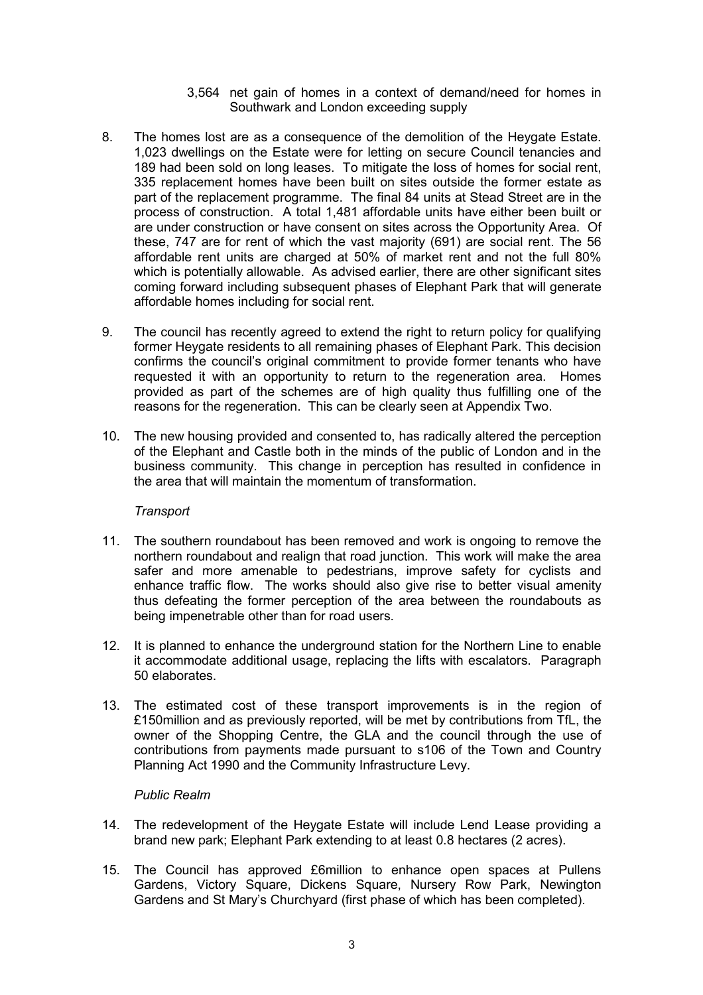- 3,564 net gain of homes in a context of demand/need for homes in Southwark and London exceeding supply
- 8. The homes lost are as a consequence of the demolition of the Heygate Estate. 1,023 dwellings on the Estate were for letting on secure Council tenancies and 189 had been sold on long leases. To mitigate the loss of homes for social rent, 335 replacement homes have been built on sites outside the former estate as part of the replacement programme. The final 84 units at Stead Street are in the process of construction. A total 1,481 affordable units have either been built or are under construction or have consent on sites across the Opportunity Area. Of these, 747 are for rent of which the vast majority (691) are social rent. The 56 affordable rent units are charged at 50% of market rent and not the full 80% which is potentially allowable. As advised earlier, there are other significant sites coming forward including subsequent phases of Elephant Park that will generate affordable homes including for social rent.
- 9. The council has recently agreed to extend the right to return policy for qualifying former Heygate residents to all remaining phases of Elephant Park. This decision confirms the council's original commitment to provide former tenants who have requested it with an opportunity to return to the regeneration area. Homes provided as part of the schemes are of high quality thus fulfilling one of the reasons for the regeneration. This can be clearly seen at Appendix Two.
- 10. The new housing provided and consented to, has radically altered the perception of the Elephant and Castle both in the minds of the public of London and in the business community. This change in perception has resulted in confidence in the area that will maintain the momentum of transformation.

## *Transport*

- 11. The southern roundabout has been removed and work is ongoing to remove the northern roundabout and realign that road junction. This work will make the area safer and more amenable to pedestrians, improve safety for cyclists and enhance traffic flow. The works should also give rise to better visual amenity thus defeating the former perception of the area between the roundabouts as being impenetrable other than for road users.
- 12. It is planned to enhance the underground station for the Northern Line to enable it accommodate additional usage, replacing the lifts with escalators. Paragraph 50 elaborates.
- 13. The estimated cost of these transport improvements is in the region of £150million and as previously reported, will be met by contributions from TfL, the owner of the Shopping Centre, the GLA and the council through the use of contributions from payments made pursuant to s106 of the Town and Country Planning Act 1990 and the Community Infrastructure Levy.

#### *Public Realm*

- 14. The redevelopment of the Heygate Estate will include Lend Lease providing a brand new park; Elephant Park extending to at least 0.8 hectares (2 acres).
- 15. The Council has approved £6million to enhance open spaces at Pullens Gardens, Victory Square, Dickens Square, Nursery Row Park, Newington Gardens and St Mary's Churchyard (first phase of which has been completed).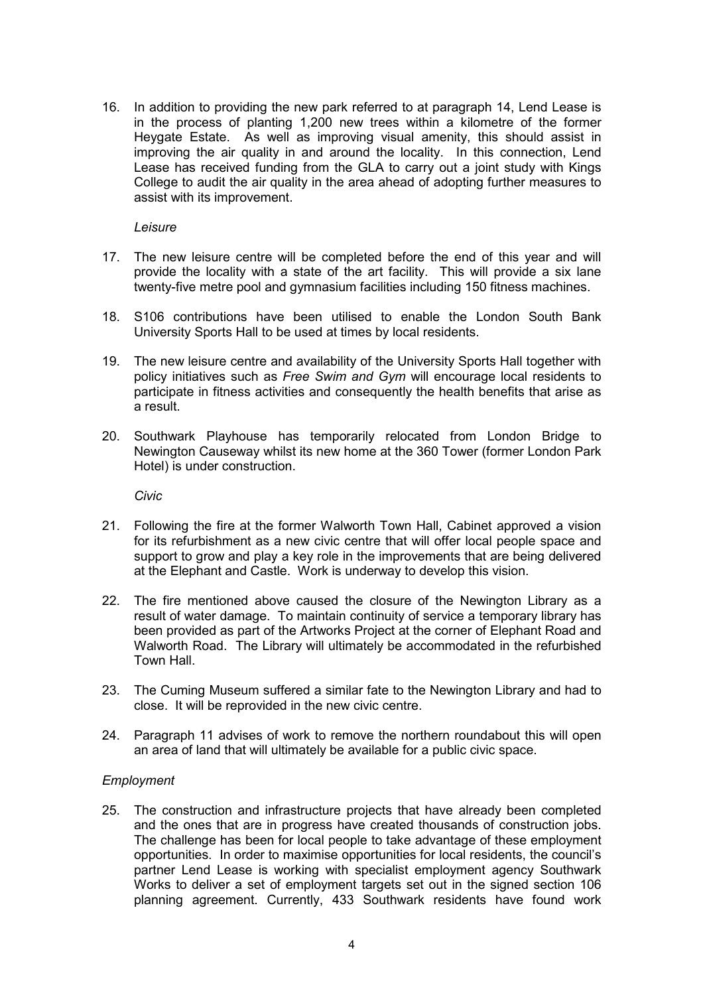16. In addition to providing the new park referred to at paragraph 14, Lend Lease is in the process of planting 1,200 new trees within a kilometre of the former Heygate Estate. As well as improving visual amenity, this should assist in improving the air quality in and around the locality. In this connection, Lend Lease has received funding from the GLA to carry out a joint study with Kings College to audit the air quality in the area ahead of adopting further measures to assist with its improvement.

*Leisure* 

- 17. The new leisure centre will be completed before the end of this year and will provide the locality with a state of the art facility. This will provide a six lane twenty-five metre pool and gymnasium facilities including 150 fitness machines.
- 18. S106 contributions have been utilised to enable the London South Bank University Sports Hall to be used at times by local residents.
- 19. The new leisure centre and availability of the University Sports Hall together with policy initiatives such as *Free Swim and Gym* will encourage local residents to participate in fitness activities and consequently the health benefits that arise as a result.
- 20. Southwark Playhouse has temporarily relocated from London Bridge to Newington Causeway whilst its new home at the 360 Tower (former London Park Hotel) is under construction.

*Civic* 

- 21. Following the fire at the former Walworth Town Hall, Cabinet approved a vision for its refurbishment as a new civic centre that will offer local people space and support to grow and play a key role in the improvements that are being delivered at the Elephant and Castle. Work is underway to develop this vision.
- 22. The fire mentioned above caused the closure of the Newington Library as a result of water damage. To maintain continuity of service a temporary library has been provided as part of the Artworks Project at the corner of Elephant Road and Walworth Road. The Library will ultimately be accommodated in the refurbished Town Hall.
- 23. The Cuming Museum suffered a similar fate to the Newington Library and had to close. It will be reprovided in the new civic centre.
- 24. Paragraph 11 advises of work to remove the northern roundabout this will open an area of land that will ultimately be available for a public civic space.

## *Employment*

25. The construction and infrastructure projects that have already been completed and the ones that are in progress have created thousands of construction jobs. The challenge has been for local people to take advantage of these employment opportunities. In order to maximise opportunities for local residents, the council's partner Lend Lease is working with specialist employment agency Southwark Works to deliver a set of employment targets set out in the signed section 106 planning agreement. Currently, 433 Southwark residents have found work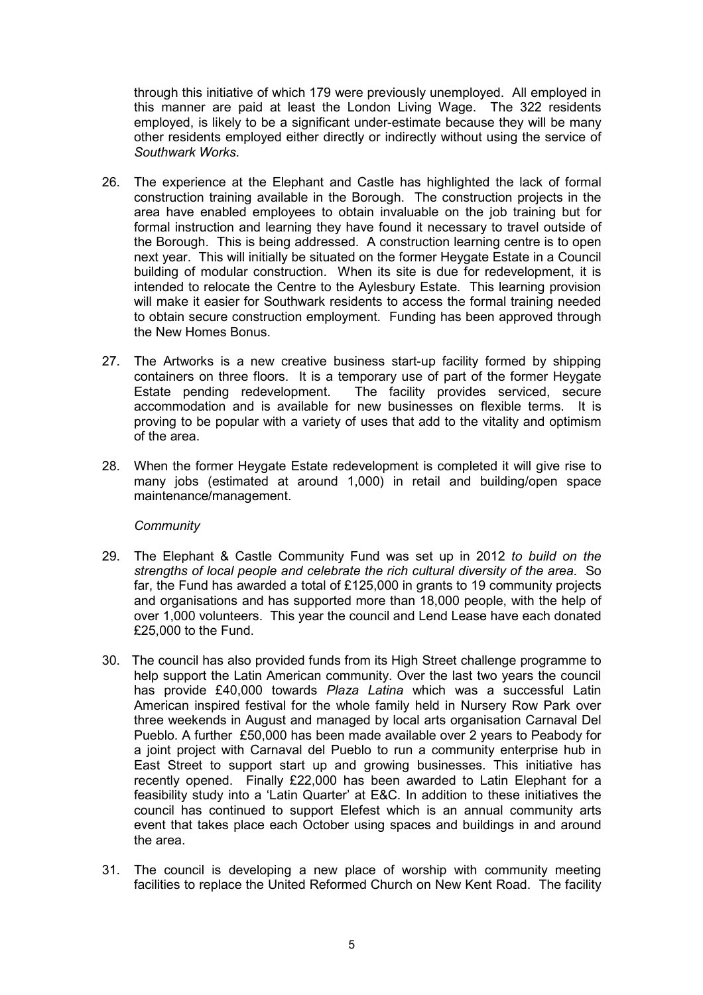through this initiative of which 179 were previously unemployed. All employed in this manner are paid at least the London Living Wage. The 322 residents employed, is likely to be a significant under-estimate because they will be many other residents employed either directly or indirectly without using the service of *Southwark Works*.

- 26. The experience at the Elephant and Castle has highlighted the lack of formal construction training available in the Borough. The construction projects in the area have enabled employees to obtain invaluable on the job training but for formal instruction and learning they have found it necessary to travel outside of the Borough. This is being addressed. A construction learning centre is to open next year. This will initially be situated on the former Heygate Estate in a Council building of modular construction. When its site is due for redevelopment, it is intended to relocate the Centre to the Aylesbury Estate. This learning provision will make it easier for Southwark residents to access the formal training needed to obtain secure construction employment. Funding has been approved through the New Homes Bonus.
- 27. The Artworks is a new creative business start-up facility formed by shipping containers on three floors. It is a temporary use of part of the former Heygate<br>Estate pending redevelopment. The facility provides serviced, secure The facility provides serviced, secure accommodation and is available for new businesses on flexible terms. It is proving to be popular with a variety of uses that add to the vitality and optimism of the area.
- 28. When the former Heygate Estate redevelopment is completed it will give rise to many jobs (estimated at around 1,000) in retail and building/open space maintenance/management.

## *Community*

- 29. The Elephant & Castle Community Fund was set up in 2012 *to build on the strengths of local people and celebrate the rich cultural diversity of the area*. So far, the Fund has awarded a total of £125,000 in grants to 19 community projects and organisations and has supported more than 18,000 people, with the help of over 1,000 volunteers. This year the council and Lend Lease have each donated £25,000 to the Fund.
- 30. The council has also provided funds from its High Street challenge programme to help support the Latin American community. Over the last two years the council has provide £40,000 towards *Plaza Latina* which was a successful Latin American inspired festival for the whole family held in Nursery Row Park over three weekends in August and managed by local arts organisation Carnaval Del Pueblo. A further £50,000 has been made available over 2 years to Peabody for a joint project with Carnaval del Pueblo to run a community enterprise hub in East Street to support start up and growing businesses. This initiative has recently opened. Finally £22,000 has been awarded to Latin Elephant for a feasibility study into a 'Latin Quarter' at E&C. In addition to these initiatives the council has continued to support Elefest which is an annual community arts event that takes place each October using spaces and buildings in and around the area.
- 31. The council is developing a new place of worship with community meeting facilities to replace the United Reformed Church on New Kent Road. The facility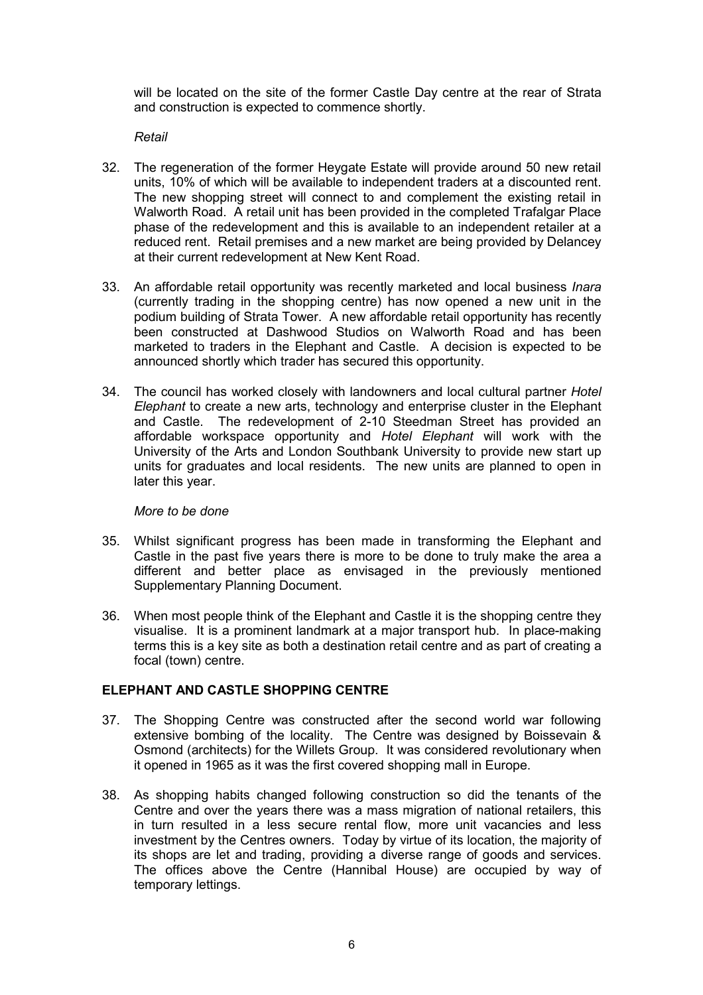will be located on the site of the former Castle Day centre at the rear of Strata and construction is expected to commence shortly.

#### *Retail*

- 32. The regeneration of the former Heygate Estate will provide around 50 new retail units, 10% of which will be available to independent traders at a discounted rent. The new shopping street will connect to and complement the existing retail in Walworth Road. A retail unit has been provided in the completed Trafalgar Place phase of the redevelopment and this is available to an independent retailer at a reduced rent. Retail premises and a new market are being provided by Delancey at their current redevelopment at New Kent Road.
- 33. An affordable retail opportunity was recently marketed and local business *Inara* (currently trading in the shopping centre) has now opened a new unit in the podium building of Strata Tower. A new affordable retail opportunity has recently been constructed at Dashwood Studios on Walworth Road and has been marketed to traders in the Elephant and Castle. A decision is expected to be announced shortly which trader has secured this opportunity.
- 34. The council has worked closely with landowners and local cultural partner *Hotel Elephant* to create a new arts, technology and enterprise cluster in the Elephant and Castle. The redevelopment of 2-10 Steedman Street has provided an affordable workspace opportunity and *Hotel Elephant* will work with the University of the Arts and London Southbank University to provide new start up units for graduates and local residents. The new units are planned to open in later this year.

#### *More to be done*

- 35. Whilst significant progress has been made in transforming the Elephant and Castle in the past five years there is more to be done to truly make the area a different and better place as envisaged in the previously mentioned Supplementary Planning Document.
- 36. When most people think of the Elephant and Castle it is the shopping centre they visualise. It is a prominent landmark at a major transport hub. In place-making terms this is a key site as both a destination retail centre and as part of creating a focal (town) centre.

## **ELEPHANT AND CASTLE SHOPPING CENTRE**

- 37. The Shopping Centre was constructed after the second world war following extensive bombing of the locality. The Centre was designed by Boissevain & Osmond (architects) for the Willets Group. It was considered revolutionary when it opened in 1965 as it was the first covered shopping mall in Europe.
- 38. As shopping habits changed following construction so did the tenants of the Centre and over the years there was a mass migration of national retailers, this in turn resulted in a less secure rental flow, more unit vacancies and less investment by the Centres owners. Today by virtue of its location, the majority of its shops are let and trading, providing a diverse range of goods and services. The offices above the Centre (Hannibal House) are occupied by way of temporary lettings.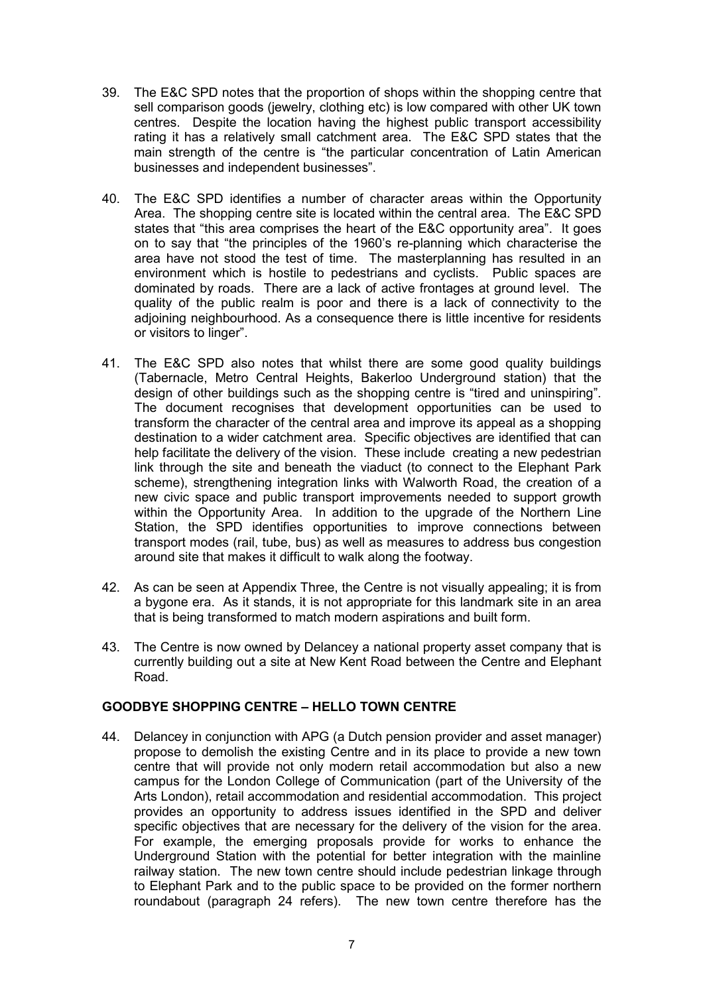- 39. The E&C SPD notes that the proportion of shops within the shopping centre that sell comparison goods (jewelry, clothing etc) is low compared with other UK town centres. Despite the location having the highest public transport accessibility rating it has a relatively small catchment area. The E&C SPD states that the main strength of the centre is "the particular concentration of Latin American businesses and independent businesses".
- 40. The E&C SPD identifies a number of character areas within the Opportunity Area. The shopping centre site is located within the central area. The E&C SPD states that "this area comprises the heart of the E&C opportunity area". It goes on to say that "the principles of the 1960's re-planning which characterise the area have not stood the test of time. The masterplanning has resulted in an environment which is hostile to pedestrians and cyclists. Public spaces are dominated by roads. There are a lack of active frontages at ground level. The quality of the public realm is poor and there is a lack of connectivity to the adjoining neighbourhood. As a consequence there is little incentive for residents or visitors to linger".
- 41. The E&C SPD also notes that whilst there are some good quality buildings (Tabernacle, Metro Central Heights, Bakerloo Underground station) that the design of other buildings such as the shopping centre is "tired and uninspiring". The document recognises that development opportunities can be used to transform the character of the central area and improve its appeal as a shopping destination to a wider catchment area. Specific objectives are identified that can help facilitate the delivery of the vision. These include creating a new pedestrian link through the site and beneath the viaduct (to connect to the Elephant Park scheme), strengthening integration links with Walworth Road, the creation of a new civic space and public transport improvements needed to support growth within the Opportunity Area. In addition to the upgrade of the Northern Line Station, the SPD identifies opportunities to improve connections between transport modes (rail, tube, bus) as well as measures to address bus congestion around site that makes it difficult to walk along the footway.
- 42. As can be seen at Appendix Three, the Centre is not visually appealing; it is from a bygone era. As it stands, it is not appropriate for this landmark site in an area that is being transformed to match modern aspirations and built form.
- 43. The Centre is now owned by Delancey a national property asset company that is currently building out a site at New Kent Road between the Centre and Elephant Road.

## **GOODBYE SHOPPING CENTRE – HELLO TOWN CENTRE**

44. Delancey in conjunction with APG (a Dutch pension provider and asset manager) propose to demolish the existing Centre and in its place to provide a new town centre that will provide not only modern retail accommodation but also a new campus for the London College of Communication (part of the University of the Arts London), retail accommodation and residential accommodation. This project provides an opportunity to address issues identified in the SPD and deliver specific objectives that are necessary for the delivery of the vision for the area. For example, the emerging proposals provide for works to enhance the Underground Station with the potential for better integration with the mainline railway station. The new town centre should include pedestrian linkage through to Elephant Park and to the public space to be provided on the former northern roundabout (paragraph 24 refers). The new town centre therefore has the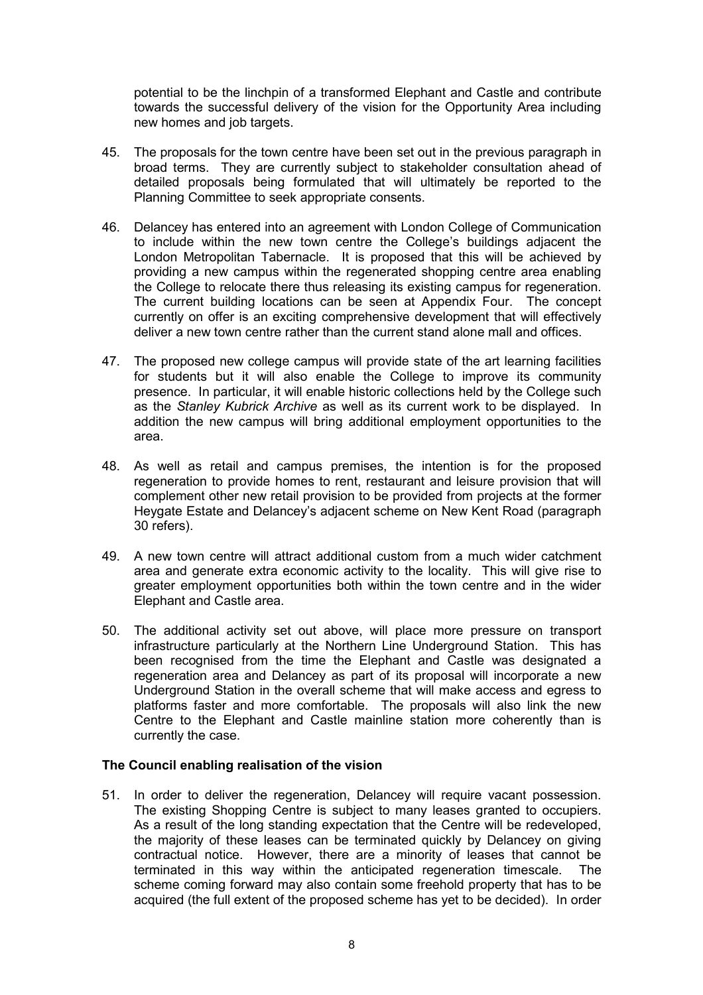potential to be the linchpin of a transformed Elephant and Castle and contribute towards the successful delivery of the vision for the Opportunity Area including new homes and job targets.

- 45. The proposals for the town centre have been set out in the previous paragraph in broad terms. They are currently subject to stakeholder consultation ahead of detailed proposals being formulated that will ultimately be reported to the Planning Committee to seek appropriate consents.
- 46. Delancey has entered into an agreement with London College of Communication to include within the new town centre the College's buildings adjacent the London Metropolitan Tabernacle. It is proposed that this will be achieved by providing a new campus within the regenerated shopping centre area enabling the College to relocate there thus releasing its existing campus for regeneration. The current building locations can be seen at Appendix Four. The concept currently on offer is an exciting comprehensive development that will effectively deliver a new town centre rather than the current stand alone mall and offices.
- 47. The proposed new college campus will provide state of the art learning facilities for students but it will also enable the College to improve its community presence. In particular, it will enable historic collections held by the College such as the *Stanley Kubrick Archive* as well as its current work to be displayed. In addition the new campus will bring additional employment opportunities to the area.
- 48. As well as retail and campus premises, the intention is for the proposed regeneration to provide homes to rent, restaurant and leisure provision that will complement other new retail provision to be provided from projects at the former Heygate Estate and Delancey's adjacent scheme on New Kent Road (paragraph 30 refers).
- 49. A new town centre will attract additional custom from a much wider catchment area and generate extra economic activity to the locality. This will give rise to greater employment opportunities both within the town centre and in the wider Elephant and Castle area.
- 50. The additional activity set out above, will place more pressure on transport infrastructure particularly at the Northern Line Underground Station. This has been recognised from the time the Elephant and Castle was designated a regeneration area and Delancey as part of its proposal will incorporate a new Underground Station in the overall scheme that will make access and egress to platforms faster and more comfortable. The proposals will also link the new Centre to the Elephant and Castle mainline station more coherently than is currently the case.

## **The Council enabling realisation of the vision**

51. In order to deliver the regeneration, Delancey will require vacant possession. The existing Shopping Centre is subject to many leases granted to occupiers. As a result of the long standing expectation that the Centre will be redeveloped, the majority of these leases can be terminated quickly by Delancey on giving contractual notice. However, there are a minority of leases that cannot be terminated in this way within the anticipated regeneration timescale. The scheme coming forward may also contain some freehold property that has to be acquired (the full extent of the proposed scheme has yet to be decided). In order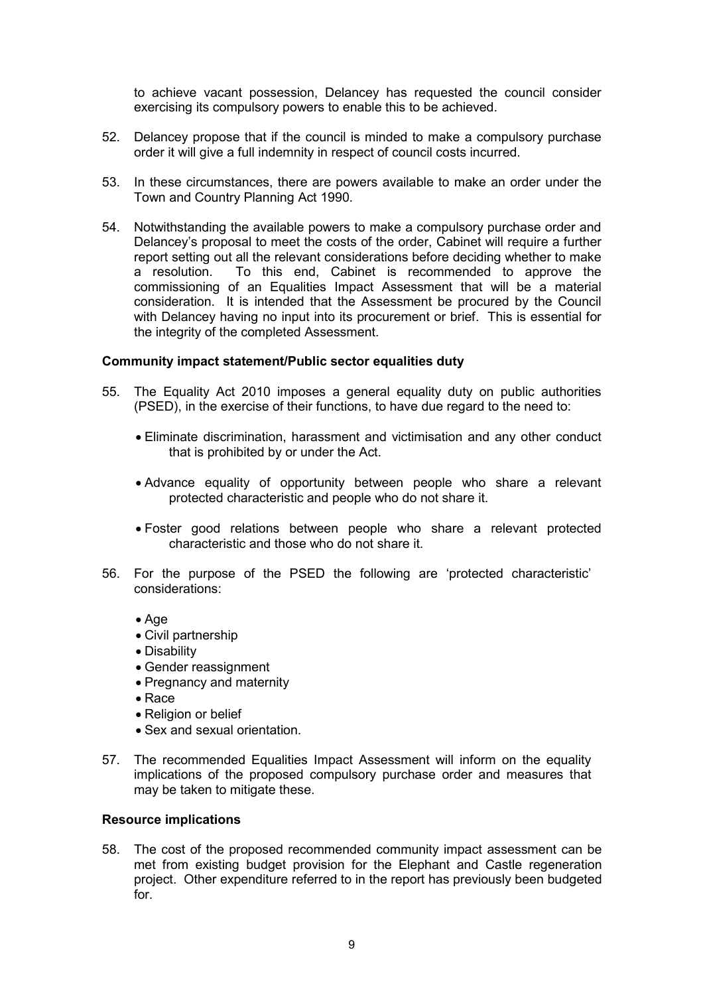to achieve vacant possession, Delancey has requested the council consider exercising its compulsory powers to enable this to be achieved.

- 52. Delancey propose that if the council is minded to make a compulsory purchase order it will give a full indemnity in respect of council costs incurred.
- 53. In these circumstances, there are powers available to make an order under the Town and Country Planning Act 1990.
- 54. Notwithstanding the available powers to make a compulsory purchase order and Delancey's proposal to meet the costs of the order, Cabinet will require a further report setting out all the relevant considerations before deciding whether to make a resolution. To this end, Cabinet is recommended to approve the commissioning of an Equalities Impact Assessment that will be a material consideration. It is intended that the Assessment be procured by the Council with Delancey having no input into its procurement or brief. This is essential for the integrity of the completed Assessment.

#### **Community impact statement/Public sector equalities duty**

- 55. The Equality Act 2010 imposes a general equality duty on public authorities (PSED), in the exercise of their functions, to have due regard to the need to:
	- Eliminate discrimination, harassment and victimisation and any other conduct that is prohibited by or under the Act.
	- Advance equality of opportunity between people who share a relevant protected characteristic and people who do not share it.
	- Foster good relations between people who share a relevant protected characteristic and those who do not share it.
- 56. For the purpose of the PSED the following are 'protected characteristic' considerations:
	- Age
	- Civil partnership
	- Disability
	- Gender reassignment
	- Pregnancy and maternity
	- Race
	- Religion or belief
	- Sex and sexual orientation.
- 57. The recommended Equalities Impact Assessment will inform on the equality implications of the proposed compulsory purchase order and measures that may be taken to mitigate these.

#### **Resource implications**

58. The cost of the proposed recommended community impact assessment can be met from existing budget provision for the Elephant and Castle regeneration project. Other expenditure referred to in the report has previously been budgeted for.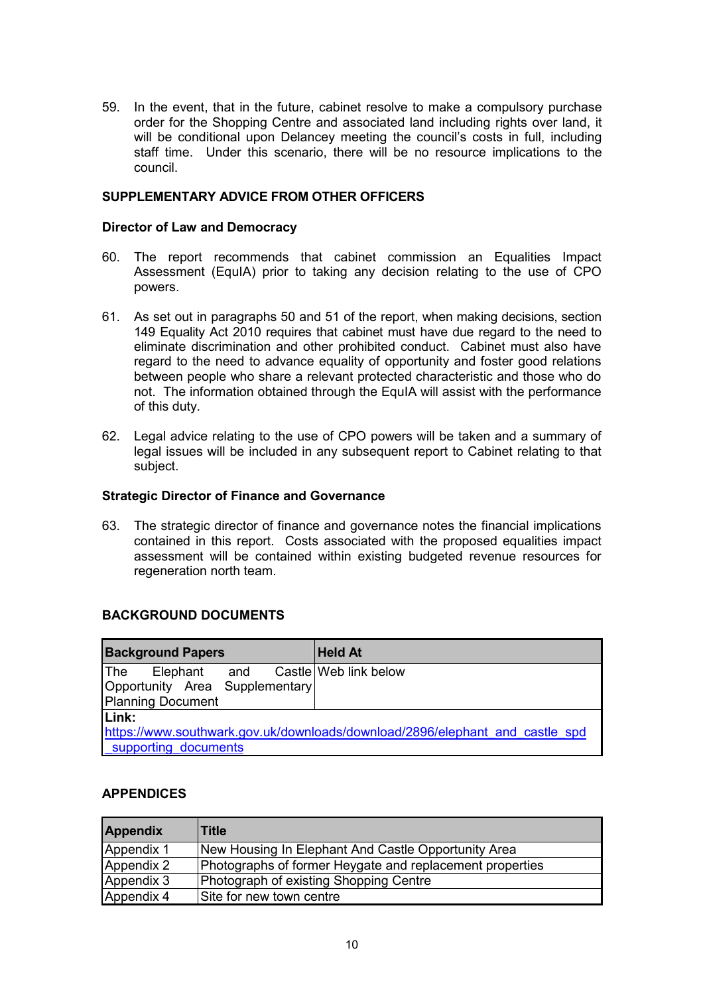59. In the event, that in the future, cabinet resolve to make a compulsory purchase order for the Shopping Centre and associated land including rights over land, it will be conditional upon Delancey meeting the council's costs in full, including staff time. Under this scenario, there will be no resource implications to the council.

#### **SUPPLEMENTARY ADVICE FROM OTHER OFFICERS**

#### **Director of Law and Democracy**

- 60. The report recommends that cabinet commission an Equalities Impact Assessment (EquIA) prior to taking any decision relating to the use of CPO powers.
- 61. As set out in paragraphs 50 and 51 of the report, when making decisions, section 149 Equality Act 2010 requires that cabinet must have due regard to the need to eliminate discrimination and other prohibited conduct. Cabinet must also have regard to the need to advance equality of opportunity and foster good relations between people who share a relevant protected characteristic and those who do not. The information obtained through the EquIA will assist with the performance of this duty.
- 62. Legal advice relating to the use of CPO powers will be taken and a summary of legal issues will be included in any subsequent report to Cabinet relating to that subject.

#### **Strategic Director of Finance and Governance**

63. The strategic director of finance and governance notes the financial implications contained in this report. Costs associated with the proposed equalities impact assessment will be contained within existing budgeted revenue resources for regeneration north team.

## **BACKGROUND DOCUMENTS**

| <b>Background Papers</b>                                                     | <b>Held At</b> |  |  |  |  |  |  |
|------------------------------------------------------------------------------|----------------|--|--|--|--|--|--|
| <b>The</b><br>Elephant and Castle Web link below                             |                |  |  |  |  |  |  |
| Opportunity Area Supplementary                                               |                |  |  |  |  |  |  |
| Planning Document                                                            |                |  |  |  |  |  |  |
| Link:                                                                        |                |  |  |  |  |  |  |
| https://www.southwark.gov.uk/downloads/download/2896/elephant and castle spd |                |  |  |  |  |  |  |
| supporting documents                                                         |                |  |  |  |  |  |  |

## **APPENDICES**

| <b>Appendix</b> | <b>Title</b>                                             |
|-----------------|----------------------------------------------------------|
| Appendix 1      | New Housing In Elephant And Castle Opportunity Area      |
| Appendix 2      | Photographs of former Heygate and replacement properties |
| Appendix 3      | Photograph of existing Shopping Centre                   |
| Appendix 4      | Site for new town centre                                 |